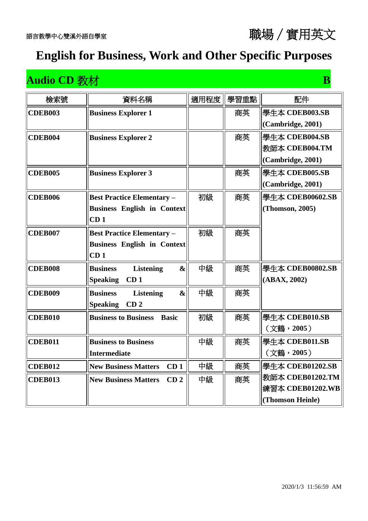#### **Audio CD 教材 B**

| 檢索號            | 資料名稱                                                     | 適用程度 | 學習重點 | 配件                |
|----------------|----------------------------------------------------------|------|------|-------------------|
| <b>CDEB003</b> | <b>Business Explorer 1</b>                               |      | 商英   | 學生本 CDEB003.SB    |
|                |                                                          |      |      | (Cambridge, 2001) |
| CDEB004        | <b>Business Explorer 2</b>                               |      | 商英   | 學生本 CDEB004.SB    |
|                |                                                          |      |      | 教師本 CDEB004.TM    |
|                |                                                          |      |      | (Cambridge, 2001) |
| <b>CDEB005</b> | <b>Business Explorer 3</b>                               |      | 商英   | 學生本 CDEB005.SB    |
|                |                                                          |      |      | (Cambridge, 2001) |
| <b>CDEB006</b> | <b>Best Practice Elementary -</b>                        | 初級   | 商英   | 學生本 CDEB00602.SB  |
|                | <b>Business English in Context</b>                       |      |      | (Thomson, 2005)   |
|                | CD <sub>1</sub>                                          |      |      |                   |
| <b>CDEB007</b> | <b>Best Practice Elementary -</b>                        | 初級   | 商英   |                   |
|                | <b>Business English in Context</b>                       |      |      |                   |
|                | CD <sub>1</sub>                                          |      |      |                   |
| <b>CDEB008</b> | $\boldsymbol{\&}$<br><b>Listening</b><br><b>Business</b> | 中級   | 商英   | 學生本 CDEB00802.SB  |
|                | CD <sub>1</sub><br><b>Speaking</b>                       |      |      | (ABAX, 2002)      |
| <b>CDEB009</b> | <b>Business</b><br><b>Listening</b><br>$\boldsymbol{\&}$ | 中級   | 商英   |                   |
|                | <b>Speaking</b><br>CD <sub>2</sub>                       |      |      |                   |
| <b>CDEB010</b> | <b>Business to Business</b><br><b>Basic</b>              | 初級   | 商英   | 學生本 CDEB010.SB    |
|                |                                                          |      |      | (文鶴,2005)         |
| <b>CDEB011</b> | <b>Business to Business</b>                              | 中級   | 商英   | 學生本 CDEB011.SB    |
|                | <b>Intermediate</b>                                      |      |      | (文鶴,2005)         |
| <b>CDEB012</b> | <b>New Business Matters</b><br>CD <sub>1</sub>           | 中級   | 商英   | 學生本 CDEB01202.SB  |
| <b>CDEB013</b> | <b>New Business Matters</b><br>CD <sub>2</sub>           | 中級   | 商英   | 教師本 CDEB01202.TM  |
|                |                                                          |      |      | 練習本 CDEB01202.WB  |
|                |                                                          |      |      | (Thomson Heinle)  |

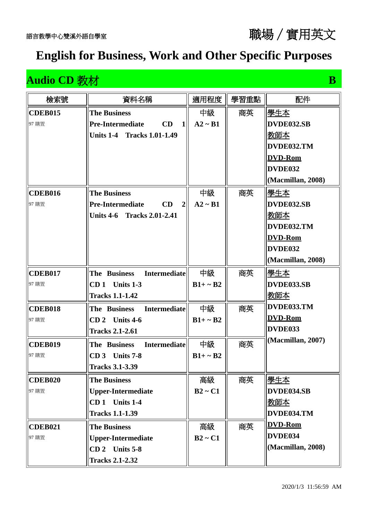#### **Audio CD 教材 B**

| 檢索號            | 資料名稱                                            | 適用程度          | 學習重點 | 配件                |
|----------------|-------------------------------------------------|---------------|------|-------------------|
| <b>CDEB015</b> | <b>The Business</b>                             | 中級            | 商英   | 學生本               |
| 97 購置          | CD<br><b>Pre-Intermediate</b><br>$\mathbf{1}$   | $A2 \sim B1$  |      | DVDE032.SB        |
|                | Units 1-4<br><b>Tracks 1.01-1.49</b>            |               |      | 教師本               |
|                |                                                 |               |      | DVDE032.TM        |
|                |                                                 |               |      | <b>DVD-Rom</b>    |
|                |                                                 |               |      | DVDE032           |
|                |                                                 |               |      | (Macmillan, 2008) |
| <b>CDEB016</b> | <b>The Business</b>                             | 中級            | 商英   | <u> 學生本</u>       |
| 97 購置          | CD<br><b>Pre-Intermediate</b><br>$\overline{2}$ | $A2 \sim B1$  |      | DVDE032.SB        |
|                | Units 4-6 Tracks 2.01-2.41                      |               |      | 教師本               |
|                |                                                 |               |      | DVDE032.TM        |
|                |                                                 |               |      | <b>DVD-Rom</b>    |
|                |                                                 |               |      | DVDE032           |
|                |                                                 |               |      | (Macmillan, 2008) |
| <b>CDEB017</b> | <b>Intermediate</b><br>The Business             | 中級            | 商英   | <u> 學生本</u>       |
| 97 購置          | $CD1$ Units 1-3                                 | $B1+ \sim B2$ |      | DVDE033.SB        |
|                | <b>Tracks 1.1-1.42</b>                          |               |      | <u>教師本</u>        |
| <b>CDEB018</b> | <b>Intermediate</b><br>The Business             | 中級            | 商英   | DVDE033.TM        |
| 97 購置          | Units 4-6<br>CD <sub>2</sub>                    | $B1+ \sim B2$ |      | <b>DVD-Rom</b>    |
|                | <b>Tracks 2.1-2.61</b>                          |               |      | DVDE033           |
| <b>CDEB019</b> | <b>Intermediate</b><br>The Business             | 中級            | 商英   | (Macmillan, 2007) |
| 97 購置          | <b>Units 7-8</b><br>CD <sub>3</sub>             | $B1+ \sim B2$ |      |                   |
|                | <b>Tracks 3.1-3.39</b>                          |               |      |                   |
| <b>CDEB020</b> | <b>The Business</b>                             | 高級            | 商英   | 學生本               |
| 97 購置          | <b>Upper-Intermediate</b>                       | $B2 \sim C1$  |      | DVDE034.SB        |
|                | CD 1 Units 1-4                                  |               |      | 教師本               |
|                | <b>Tracks 1.1-1.39</b>                          |               |      | DVDE034.TM        |
| <b>CDEB021</b> | <b>The Business</b>                             | 高級            | 商英   | <b>DVD-Rom</b>    |
| 97 購置          | <b>Upper-Intermediate</b>                       | $B2 \sim C1$  |      | DVDE034           |
|                | $CD 2$ Units 5-8                                |               |      | (Macmillan, 2008) |
|                | <b>Tracks 2.1-2.32</b>                          |               |      |                   |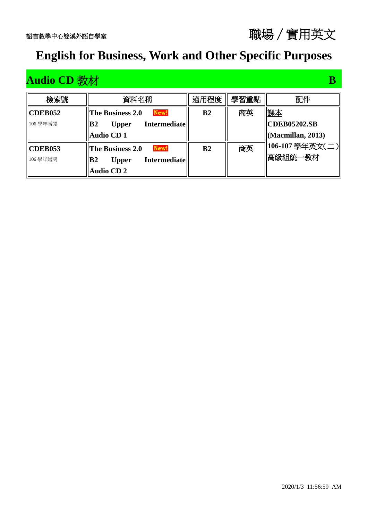## **Audio CD 教材 B**

| 檢索號            | 資料名稱                                                  | 適用程度           | 學習重點 | 配件                        |
|----------------|-------------------------------------------------------|----------------|------|---------------------------|
| <b>CDEB052</b> | New!<br>The Business 2.0                              | B <sub>2</sub> | 商英   | 課本                        |
| 106 學年贈閱       | B <sub>2</sub><br><b>Intermediate</b><br><b>Upper</b> |                |      | <b>CDEB05202.SB</b>       |
|                | <b>Audio CD1</b>                                      |                |      | $\vert$ (Macmillan, 2013) |
| <b>CDEB053</b> | New!<br>The Business 2.0                              | B <sub>2</sub> | 商英   | 106-107 學年英文(二)           |
| 106 學年贈閱       | <b>Intermediate</b><br><b>B2</b><br><b>Upper</b>      |                |      | 高級組統一教材                   |
|                | <b>Audio CD 2</b>                                     |                |      |                           |

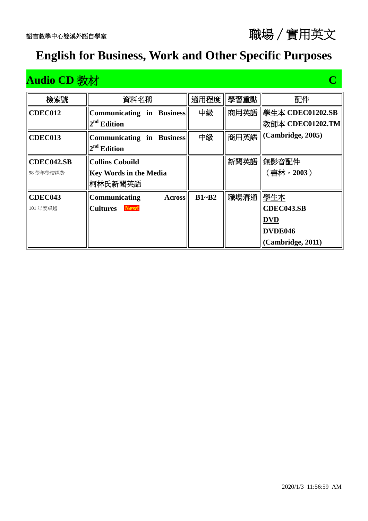| 檢索號        | 資料名稱                             | 適用程度      | 學習重點 | 配件                |
|------------|----------------------------------|-----------|------|-------------------|
| CDEC012    | <b>Communicating in Business</b> | 中級        | 商用英語 | 學生本 CDEC01202.SB  |
|            | $2nd$ Edition                    |           |      | 教師本 CDEC01202.TM  |
| CDEC013    | <b>Communicating in Business</b> | 中級        | 商用英語 | (Cambridge, 2005) |
|            | $2nd$ Edition                    |           |      |                   |
| CDEC042.SB | <b>Collins Cobuild</b>           |           | 新聞英語 | 無影音配件             |
| 98學年學校經費   | <b>Key Words in the Media</b>    |           |      | (書林, 2003)        |
|            | 柯林氏新聞英語                          |           |      |                   |
| CDEC043    | Communicating<br><b>Across</b>   | $B1 - B2$ | 職場溝通 | 學生本               |
| 101年度卓越    | New!<br><b>Cultures</b>          |           |      | CDEC043.SB        |
|            |                                  |           |      | <b>DVD</b>        |
|            |                                  |           |      | DVDE046           |
|            |                                  |           |      | (Cambridge, 2011) |

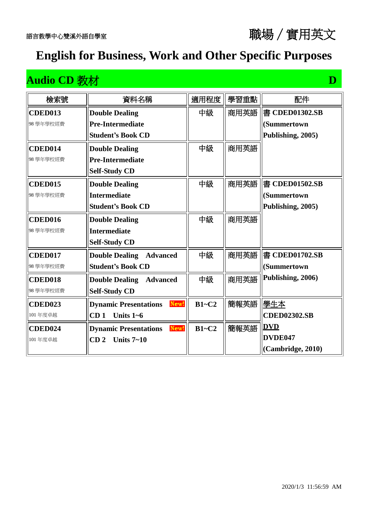#### **Audio CD** 教材 **D**

| 檢索號            | 資料名稱                                     | 適用程度    | 學習重點 | 配件                  |
|----------------|------------------------------------------|---------|------|---------------------|
| <b>CDED013</b> | <b>Double Dealing</b>                    | 中級      | 商用英語 | 書 CDED01302.SB      |
| 98學年學校經費       | <b>Pre-Intermediate</b>                  |         |      | (Summertown         |
|                | <b>Student's Book CD</b>                 |         |      | Publishing, 2005)   |
| CDED014        | <b>Double Dealing</b>                    | 中級      | 商用英語 |                     |
| 98學年學校經費       | <b>Pre-Intermediate</b>                  |         |      |                     |
|                | <b>Self-Study CD</b>                     |         |      |                     |
| <b>CDED015</b> | <b>Double Dealing</b>                    | 中級      | 商用英語 | 書 CDED01502.SB      |
| 98學年學校經費       | <b>Intermediate</b>                      |         |      | <b>(Summertown</b>  |
|                | <b>Student's Book CD</b>                 |         |      | Publishing, 2005)   |
| <b>CDED016</b> | <b>Double Dealing</b>                    | 中級      | 商用英語 |                     |
| 98學年學校經費       | Intermediate                             |         |      |                     |
|                | <b>Self-Study CD</b>                     |         |      |                     |
| <b>CDED017</b> | <b>Double Dealing Advanced</b>           | 中級      | 商用英語 | 書 CDED01702.SB      |
| 98學年學校經費       | <b>Student's Book CD</b>                 |         |      | (Summertown         |
| <b>CDED018</b> | <b>Double Dealing</b><br><b>Advanced</b> | 中級      | 商用英語 | Publishing, 2006)   |
| 98學年學校經費       | <b>Self-Study CD</b>                     |         |      |                     |
| <b>CDED023</b> | <b>Dynamic Presentations</b><br>New!     | $B1-C2$ | 簡報英語 | 學生本                 |
| 101年度卓越        | CD <sub>1</sub><br>Units $1-6$           |         |      | <b>CDED02302.SB</b> |
| <b>CDED024</b> | New!<br><b>Dynamic Presentations</b>     | $B1-C2$ | 簡報英語 | <b>DVD</b>          |
| 101年度卓越        | CD <sub>2</sub><br>Units $7 - 10$        |         |      | DVDE047             |
|                |                                          |         |      | (Cambridge, 2010)   |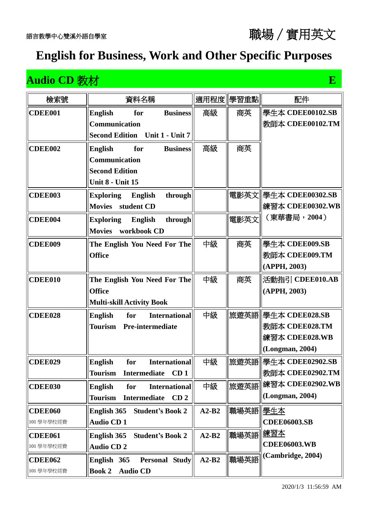#### **Audio CD** 教材 **E**

| 檢索號            | 資料名稱                                                     | 適用程度    | 學習重點     | 配件                     |
|----------------|----------------------------------------------------------|---------|----------|------------------------|
| <b>CDEE001</b> | <b>Business</b><br><b>English</b><br>for                 | 高級      | 商英       | 學生本 CDEE00102.SB       |
|                | Communication                                            |         |          | 教師本 CDEE00102.TM       |
|                | <b>Second Edition</b><br>Unit 1 - Unit 7                 |         |          |                        |
| CDEE002        | for<br><b>Business</b><br><b>English</b>                 | 高級      | 商英       |                        |
|                | <b>Communication</b>                                     |         |          |                        |
|                | <b>Second Edition</b>                                    |         |          |                        |
|                | <b>Unit 8 - Unit 15</b>                                  |         |          |                        |
| <b>CDEE003</b> | <b>Exploring</b><br>English<br>through                   |         | 電影英文     | 學生本 CDEE00302.SB       |
|                | student CD<br><b>Movies</b>                              |         |          | 練習本 CDEE00302.WB       |
| <b>CDEE004</b> | through<br>English<br><b>Exploring</b>                   |         | 電影英文     | (東華書局, 2004)           |
|                | workbook CD<br><b>Movies</b>                             |         |          |                        |
| <b>CDEE009</b> | The English You Need For The                             | 中級      | 商英       | 學生本 CDEE009.SB         |
|                | <b>Office</b>                                            |         |          | 教師本 CDEE009.TM         |
|                |                                                          |         |          | (APPH, 2003)           |
| <b>CDEE010</b> | The English You Need For The                             | 中級      | 商英       | 活動指引 CDEE010.AB        |
|                | <b>Office</b>                                            |         |          | (APPH, 2003)           |
|                | <b>Multi-skill Activity Book</b>                         |         |          |                        |
| CDEE028        | <b>International</b><br><b>English</b><br>for            | 中級      | 旅遊英語     | 學生本 CDEE028.SB         |
|                | Tourism<br><b>Pre-intermediate</b>                       |         |          | 教師本 CDEE028.TM         |
|                |                                                          |         |          | 練習本 CDEE028.WB         |
|                |                                                          |         |          | (Longman, 2004)        |
| <b>CDEE029</b> | <b>English</b><br><b>International</b><br>for            | 中級      |          | 旅遊英語  學生本 CDEE02902.SB |
|                | Intermediate<br>CD <sub>1</sub><br>Tourism               |         |          | 教師本 CDEE02902.TM       |
| <b>CDEE030</b> | <b>International</b><br><b>English</b><br>for            | 中級      | 旅遊英語     | 練習本 CDEE02902.WB       |
|                | <b>Tourism</b><br>CD <sub>2</sub><br><b>Intermediate</b> |         |          | (Longman, 2004)        |
| <b>CDEE060</b> | English 365<br><b>Student's Book 2</b>                   | $A2-B2$ | 職場英語 學生本 |                        |
| 101 學年學校經費     | <b>Audio CD1</b>                                         |         |          | <b>CDEE06003.SB</b>    |
| <b>CDEE061</b> | English 365<br><b>Student's Book 2</b>                   | $A2-B2$ | 職場英語     | <u> 練習本</u>            |
| 101 學年學校經費     | <b>Audio CD2</b>                                         |         |          | <b>CDEE06003.WB</b>    |
| <b>CDEE062</b> | <b>Personal Study</b><br>English 365                     | $A2-B2$ | 職場英語     | (Cambridge, 2004)      |
| 101學年學校經費      | <b>Book 2</b><br><b>Audio CD</b>                         |         |          |                        |

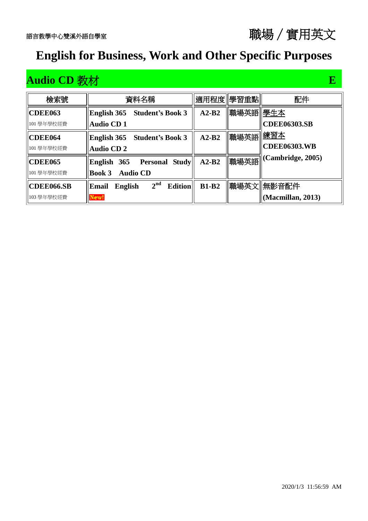## **Audio CD** 教材 **E**

| 檢索號            | 資料名稱                                                         |              | 適用程度 學習重點 | 配件                      |
|----------------|--------------------------------------------------------------|--------------|-----------|-------------------------|
| CDEE063        | <b>Student's Book 3</b><br>English 365                       | $A2-B2$      | 職場英語 學生本  |                         |
| 101 學年學校經費     | <b>Audio CD1</b>                                             |              |           | <b>CDEE06303.SB</b>     |
| <b>CDEE064</b> | <b>Student's Book 3</b><br>English 365                       | $A2-B2$      | 職場英語      | 練習本                     |
| 101 學年學校經費     | <b>Audio CD 2</b>                                            |              |           | <b>CDEE06303.WB</b>     |
| CDEE065        | <b>Personal Study</b>   <br>English 365                      | $A2-B2$      |           | 職場英語  (Cambridge, 2005) |
| 101 學年學校經費     | <b>Audio CD</b><br><b>Book 3</b>                             |              |           |                         |
| CDEE066.SB     | 2 <sup>nd</sup><br><b>Edition</b><br><b>English</b><br>Email | <b>B1-B2</b> |           | 職場英文  無影音配件             |
| 103 學年學校經費     | New!                                                         |              |           | (Macmillan, 2013)       |

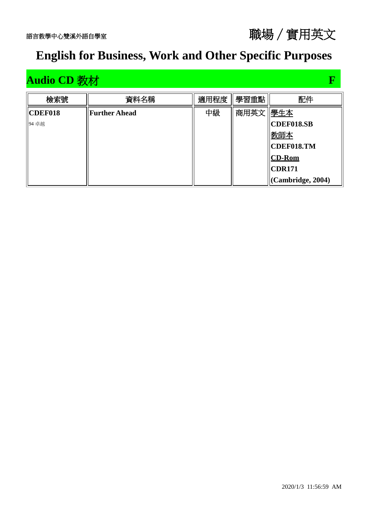

#### **Audio CD 教材 F**

| 檢索號     | 資料名稱                 | 適用程度 | 學習重點     | 配件                    |
|---------|----------------------|------|----------|-----------------------|
| CDEF018 | <b>Further Ahead</b> | 中級   | 商用英文 學生本 |                       |
| 94 卓越   |                      |      |          | CDEF018.SB            |
|         |                      |      |          | 教師本                   |
|         |                      |      |          | CDEF018.TM            |
|         |                      |      |          | $ CD-Rom $            |
|         |                      |      |          | CDR171                |
|         |                      |      |          | $ $ (Cambridge, 2004) |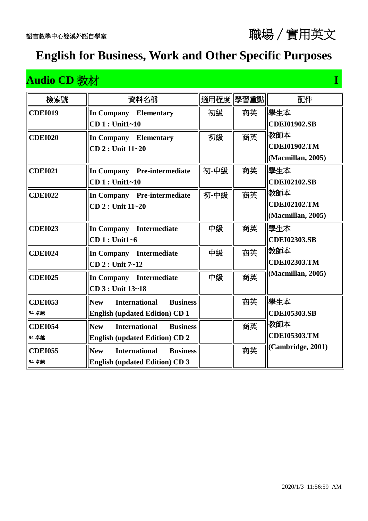#### **Audio CD 教材** I **I I according to the U and I amount of T**

| 檢索號            | 資料名稱                                                  |      | 適用程度  學習重點 | 配件                  |
|----------------|-------------------------------------------------------|------|------------|---------------------|
| <b>CDEI019</b> | <b>In Company</b> Elementary                          | 初級   | 商英         | 學生本                 |
|                | <b>CD1</b> : Unit1~10                                 |      |            | <b>CDEI01902.SB</b> |
| <b>CDEI020</b> | In Company Elementary                                 | 初級   | 商英         | 教師本                 |
|                | $CD$ 2 : Unit $11 - 20$                               |      |            | <b>CDEI01902.TM</b> |
|                |                                                       |      |            | (Macmillan, 2005)   |
| <b>CDEI021</b> | In Company Pre-intermediate                           | 初-中級 | 商英         | 學生本                 |
|                | $CD 1: Unit1~-10$                                     |      |            | <b>CDEI02102.SB</b> |
| <b>CDEI022</b> | In Company Pre-intermediate                           | 初-中級 | 商英         | 教師本                 |
|                | CD 2 : Unit 11~20                                     |      |            | <b>CDEI02102.TM</b> |
|                |                                                       |      |            | (Macmillan, 2005)   |
| <b>CDEI023</b> | In Company Intermediate                               | 中級   | 商英         | 學生本                 |
|                | $CD 1: Unit1-6$                                       |      |            | <b>CDEI02303.SB</b> |
| <b>CDEI024</b> | In Company Intermediate                               | 中級   | 商英         | 教師本                 |
|                | CD 2 : Unit 7~12                                      |      |            | <b>CDEI02303.TM</b> |
| <b>CDEI025</b> | In Company Intermediate                               | 中級   | 商英         | (Macmillan, 2005)   |
|                | CD 3 : Unit 13~18                                     |      |            |                     |
| <b>CDEI053</b> | <b>Business</b><br><b>New</b><br><b>International</b> |      | 商英         | 學生本                 |
| 94 卓越          | <b>English (updated Edition) CD 1</b>                 |      |            | <b>CDEI05303.SB</b> |
| <b>CDEI054</b> | <b>New</b><br><b>International</b><br><b>Business</b> |      | 商英         | 教師本                 |
| 94 卓越          | <b>English (updated Edition) CD 2</b>                 |      |            | <b>CDEI05303.TM</b> |
| <b>CDEI055</b> | <b>International</b><br><b>Business</b><br><b>New</b> |      | 商英         | (Cambridge, 2001)   |
| 94 卓越          | <b>English (updated Edition) CD 3</b>                 |      |            |                     |
|                |                                                       |      |            |                     |

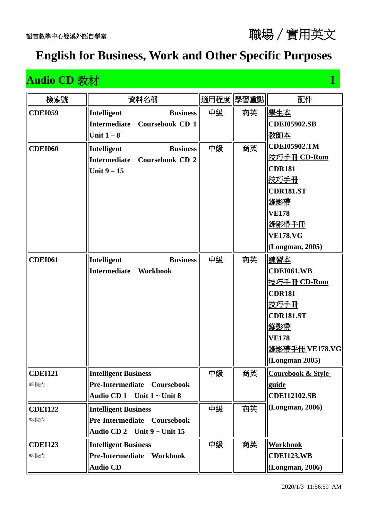#### **Audio CD 教材 I I according to the CD 的**

| 檢索號            |                                  | 資料名稱                         |    | 適用程度 學習重點 | 配件                           |
|----------------|----------------------------------|------------------------------|----|-----------|------------------------------|
| <b>CDEI059</b> | <b>Intelligent</b>               | <b>Business</b>              | 中級 | 商英        | <u> 學生本</u>                  |
|                | <b>Intermediate</b>              | Coursebook CD 1              |    |           | <b>CDEI05902.SB</b>          |
|                | Unit $1-8$                       |                              |    |           | 教師本                          |
| <b>CDEI060</b> | Intelligent                      | <b>Business</b>              | 中級 | 商英        | <b>CDEI05902.TM</b>          |
|                |                                  | Intermediate Coursebook CD 2 |    |           | 技巧手冊 CD-Rom                  |
|                | Unit $9 - 15$                    |                              |    |           | <b>CDR181</b>                |
|                |                                  |                              |    |           | <u>技巧手冊</u>                  |
|                |                                  |                              |    |           | <b>CDR181.ST</b>             |
|                |                                  |                              |    |           | <u>錄影帶</u>                   |
|                |                                  |                              |    |           | <b>VE178</b>                 |
|                |                                  |                              |    |           | <u>錄影帶手冊</u>                 |
|                |                                  |                              |    |           | <b>VE178.VG</b>              |
|                |                                  |                              |    |           | (Longman, 2005)              |
| <b>CDEI061</b> | <b>Intelligent</b>               | <b>Business</b>              | 中級 | 商英        | <u> 練習本</u>                  |
|                | <b>Intermediate</b>              | Workbook                     |    |           | <b>CDEI061.WB</b>            |
|                |                                  |                              |    |           | 技巧手冊 CD-Rom                  |
|                |                                  |                              |    |           | <b>CDR181</b>                |
|                |                                  |                              |    |           | 技巧手冊                         |
|                |                                  |                              |    |           | <b>CDR181.ST</b>             |
|                |                                  |                              |    |           | 錄影帶                          |
|                |                                  |                              |    |           | <b>VE178</b>                 |
|                |                                  |                              |    |           | 錄影帶手冊 VE178.VG               |
|                |                                  |                              |    |           | (Longman 2005)               |
| <b>CDEI121</b> | <b>Intelligent Business</b>      |                              | 中級 | 商英        | <b>Courebook &amp; Style</b> |
| 98 院内          |                                  | Pre-Intermediate Coursebook  |    |           | guide                        |
|                | Audio CD 1 Unit 1 ~ Unit 8       |                              |    |           | <b>CDEI12102.SB</b>          |
| <b>CDEI122</b> | <b>Intelligent Business</b>      |                              | 中級 | 商英        | (Longman, 2006)              |
| 98 院内          |                                  | Pre-Intermediate Coursebook  |    |           |                              |
|                | Audio CD 2 Unit $9 \sim$ Unit 15 |                              |    |           |                              |
| <b>CDEI123</b> | <b>Intelligent Business</b>      |                              | 中級 | 商英        | <b>Workbook</b>              |
| 98 院内          | <b>Pre-Intermediate</b>          | Workbook                     |    |           | <b>CDEI123.WB</b>            |
|                | <b>Audio CD</b>                  |                              |    |           | (Longman, 2006)              |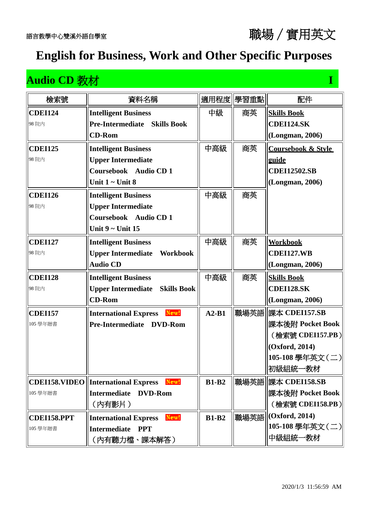| 檢索號            | 資料名稱                                                 | 適用程度         | 學習重點 | 配件                            |
|----------------|------------------------------------------------------|--------------|------|-------------------------------|
| <b>CDEI124</b> | <b>Intelligent Business</b>                          | 中級           | 商英   | <b>Skills Book</b>            |
| 98 院内          | <b>Pre-Intermediate</b><br><b>Skills Book</b>        |              |      | <b>CDEI124.SK</b>             |
|                | <b>CD-Rom</b>                                        |              |      | (Longman, 2006)               |
| <b>CDEI125</b> | <b>Intelligent Business</b>                          | 中高級          | 商英   | <b>Coursebook &amp; Style</b> |
| 98 院内          | <b>Upper Intermediate</b>                            |              |      | guide                         |
|                | Coursebook Audio CD 1                                |              |      | <b>CDEI12502.SB</b>           |
|                | Unit $1 -$ Unit 8                                    |              |      | (Longman, 2006)               |
| <b>CDEI126</b> | <b>Intelligent Business</b>                          | 中高級          | 商英   |                               |
| 98 院内          | <b>Upper Intermediate</b>                            |              |      |                               |
|                | Coursebook Audio CD 1                                |              |      |                               |
|                | Unit $9$ ~ Unit 15                                   |              |      |                               |
| <b>CDEI127</b> | <b>Intelligent Business</b>                          | 中高級          | 商英   | <b>Workbook</b>               |
| 98 院内          | <b>Upper Intermediate</b><br>Workbook                |              |      | <b>CDEI127.WB</b>             |
|                | <b>Audio CD</b>                                      |              |      | (Longman, 2006)               |
| <b>CDEI128</b> | <b>Intelligent Business</b>                          | 中高級          | 商英   | <b>Skills Book</b>            |
| 98 院内          | <b>Upper Intermediate</b><br><b>Skills Book</b>      |              |      | <b>CDEI128.SK</b>             |
|                | <b>CD-Rom</b>                                        |              |      | (Longman, 2006)               |
| <b>CDEI157</b> | New!<br><b>International Express</b>                 | $A2-B1$      | 職場英語 | 課本 CDEI157.SB                 |
| 105 學年贈書       | Pre-Intermediate DVD-Rom                             |              |      | 課本後附 Pocket Book              |
|                |                                                      |              |      | (檢索號 CDEI157.PB )             |
|                |                                                      |              |      | (Oxford, 2014)                |
|                |                                                      |              |      | 105-108 學年英文(二)               |
|                |                                                      |              |      | 初級組統一教材                       |
|                | New!<br><b>CDEI158.VIDEO   International Express</b> | <b>B1-B2</b> | 職場英語 | 課本 CDEI158.SB                 |
| 105 學年贈書       | Intermediate DVD-Rom                                 |              |      | 課本後附 Pocket Book              |
|                | (内有影片)                                               |              |      | (檢索號 CDEI158.PB)              |
| CDEI158.PPT    | New!<br><b>International Express</b>                 | <b>B1-B2</b> | 職場英語 | (Oxford, 2014)                |
| 105 學年贈書       | <b>Intermediate</b><br><b>PPT</b>                    |              |      | 105-108 學年英文(二)               |
|                | (内有聽力檔、課本解答)                                         |              |      | 中級組統一教材                       |

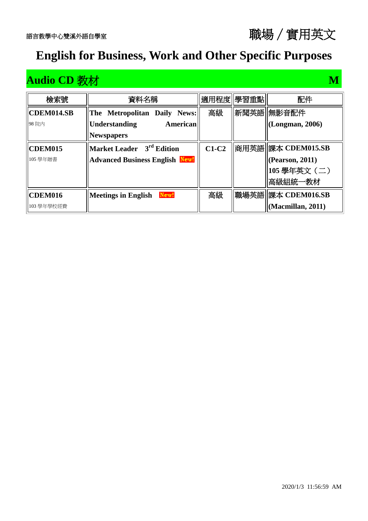**CDEM014.SB**

98 院內

**檢索號 | 李科名稱 | 適用程度 | 學習重點 | 配件** 

**The Metropolitan Daily News:** 

| 98 院内          | <b>American</b><br><b>Understanding</b> |         | $\vert$ (Longman, 2006)   |
|----------------|-----------------------------------------|---------|---------------------------|
|                | <b>Newspapers</b>                       |         |                           |
| <b>CDEM015</b> | $\parallel$ Market Leader $3rd$ Edition | $C1-C2$ | <b>商用英語 課本 CDEM015.SB</b> |
| 105 學年贈書       | <b>Advanced Business English New!</b>   |         | $ $ (Pearson, 2011)       |
|                |                                         |         | 105 學年英文 (二)              |
|                |                                         |         | 高級組統一教材                   |
| <b>CDEM016</b> | New!<br><b>Meetings in English</b>      | 高級      | 職場英語   課本 CDEM016.SB      |
| 103 學年學校經費     |                                         |         | Macmillan, 2011)          |

#### 2020/1/3 11:56:59 AM

#### 語言教學中心雙溪外語自學室職場∕實用英文

高級 | 新聞英語 無影音配件

#### **Audio CD** 教材 **M**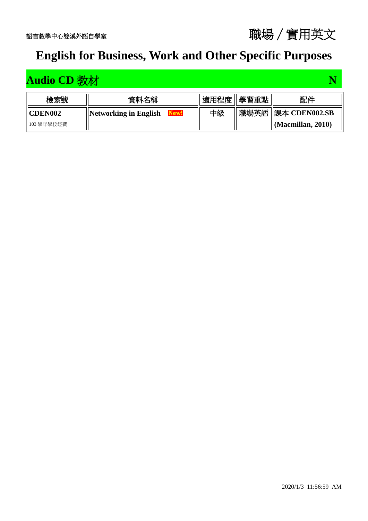

## **Audio CD 教材 N**

| 檢索號             | 資料名稱                          | 適用程度 | 學習重點 | 配件                            |
|-----------------|-------------------------------|------|------|-------------------------------|
| <b>ICDEN002</b> | Networking in English<br>New! | 中級   |      | 職場英語   課本 CDEN002.SB          |
| 103 學年學校經費      |                               |      |      | $\parallel$ (Macmillan, 2010) |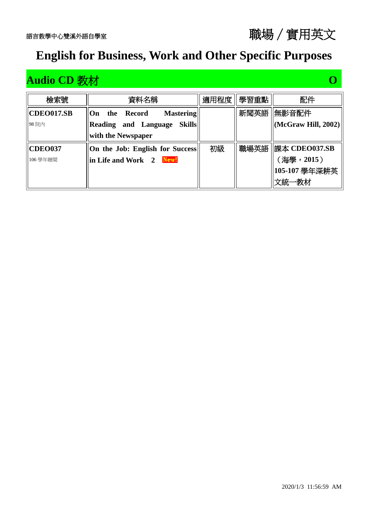| 檢索號            | 資料名稱                                 | 適用程度 | 學習重點 | 配件                          |
|----------------|--------------------------------------|------|------|-----------------------------|
| CDEO017.SB     | <b>Mastering</b><br>Record<br>On the |      | 新聞英語 | 無影音配件                       |
| 98 院内          | Reading and Language Skills          |      |      | $\vert$ (McGraw Hill, 2002) |
|                | with the Newspaper                   |      |      |                             |
| <b>CDEO037</b> | On the Job: English for Success      | 初級   |      | 職場英語   課本 CDEO037.SB        |
| 106 學年贈閱       | in Life and Work 2 New!              |      |      | (海學,2015)                   |
|                |                                      |      |      | 105-107 學年深耕英               |
|                |                                      |      |      | 文統一教材                       |

#### 2020/1/3 11:56:59 AM

語言教學中心雙溪外語自學室職場∕實用英文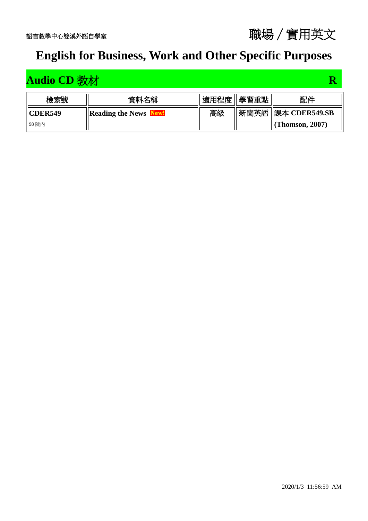

## **Audio CD** 教材 **R**

| 檢索號              | 資料名稱                            | 適用程度 | 學習重點 | 配件                           |
|------------------|---------------------------------|------|------|------------------------------|
| <b>IICDER549</b> | <b>Reading the News</b><br>New! | 高級   |      | 新聞英語   課本 CDER549.SB         |
| 98 院内            |                                 |      |      | $\left\vert$ (Thomson, 2007) |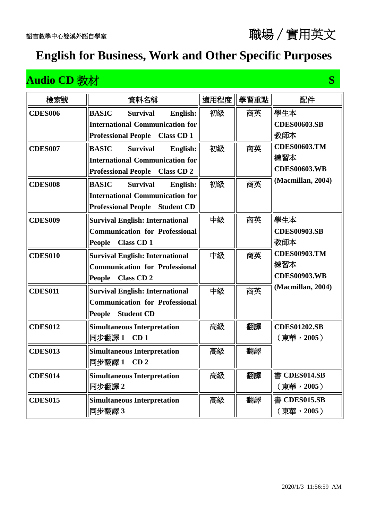#### **Audio CD 教材 S**

| 檢索號            | 資料名稱                                            | 適用程度 | 學習重點 | 配件                  |
|----------------|-------------------------------------------------|------|------|---------------------|
| <b>CDES006</b> | <b>BASIC</b><br><b>Survival</b><br>English:     | 初級   | 商英   | 學生本                 |
|                | <b>International Communication for</b>          |      |      | <b>CDES00603.SB</b> |
|                | <b>Professional People</b><br><b>Class CD1</b>  |      |      | 教師本                 |
| <b>CDES007</b> | <b>Survival</b><br><b>BASIC</b><br>English:     | 初級   | 商英   | <b>CDES00603.TM</b> |
|                | <b>International Communication for</b>          |      |      | 練習本                 |
|                | <b>Class CD 2</b><br><b>Professional People</b> |      |      | <b>CDES00603.WB</b> |
| <b>CDES008</b> | <b>BASIC</b><br><b>Survival</b><br>English:     | 初級   | 商英   | (Macmillan, 2004)   |
|                | <b>International Communication for</b>          |      |      |                     |
|                | <b>Student CD</b><br><b>Professional People</b> |      |      |                     |
| <b>CDES009</b> | <b>Survival English: International</b>          | 中級   | 商英   | 學生本                 |
|                | <b>Communication for Professional</b>           |      |      | <b>CDES00903.SB</b> |
|                | <b>Class CD1</b><br><b>People</b>               |      |      | 教師本                 |
| <b>CDES010</b> | <b>Survival English: International</b>          | 中級   | 商英   | <b>CDES00903.TM</b> |
|                | <b>Communication for Professional</b>           |      |      | 練習本                 |
|                | <b>People</b><br><b>Class CD 2</b>              |      |      | <b>CDES00903.WB</b> |
| <b>CDES011</b> | <b>Survival English: International</b>          | 中級   | 商英   | (Macmillan, 2004)   |
|                | <b>Communication for Professional</b>           |      |      |                     |
|                | <b>People</b><br><b>Student CD</b>              |      |      |                     |
| <b>CDES012</b> | <b>Simultaneous Interpretation</b>              | 高級   | 翻譯   | <b>CDES01202.SB</b> |
|                | 同步翻譯1<br>CD <sub>1</sub>                        |      |      | (東華,2005)           |
| <b>CDES013</b> | <b>Simultaneous Interpretation</b>              | 高級   | 翻譯   |                     |
|                | 同步翻譯 1<br>CD <sub>2</sub>                       |      |      |                     |
| <b>CDES014</b> | <b>Simultaneous Interpretation</b>              | 高級   | 翻譯   | 書 CDES014.SB        |
|                | 同步翻譯 2                                          |      |      | (東華,2005)           |
| <b>CDES015</b> | <b>Simultaneous Interpretation</b>              | 高級   | 翻譯   | 書 CDES015.SB        |
|                | 同步翻譯 3                                          |      |      | (東華,2005)           |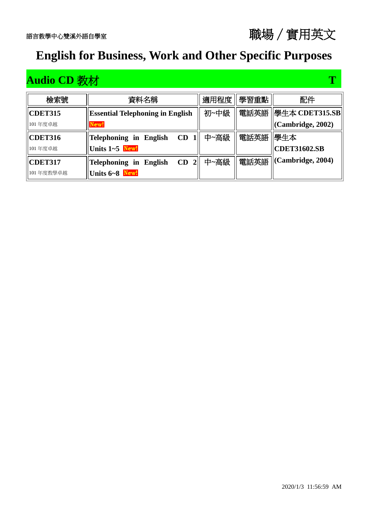## **Audio CD 教材 T**

| 檢索號            | 資料名稱                                    | 適用程度 | 學習重點 | 配件                  |
|----------------|-----------------------------------------|------|------|---------------------|
| <b>CDET315</b> | <b>Essential Telephoning in English</b> | 初~中級 | 電話英語 | 學生本 CDET315.SB      |
| 101年度卓越        | New!                                    |      |      | (Cambridge, 2002)   |
| CDET316        | Telephoning in English<br>CD            | 中~高級 | 電話英語 | 學生本                 |
| 101年度卓越        | Units 1~5 New!                          |      |      | <b>CDET31602.SB</b> |
| CDET317        | CD<br><b>Telephoning in English</b>     | 中~高級 | 電話英語 | (Cambridge, 2004)   |
| 101年度教學卓越      | Units 6~8 New!                          |      |      |                     |

#### 語言教學中心雙溪外語自學室職場∕實用英文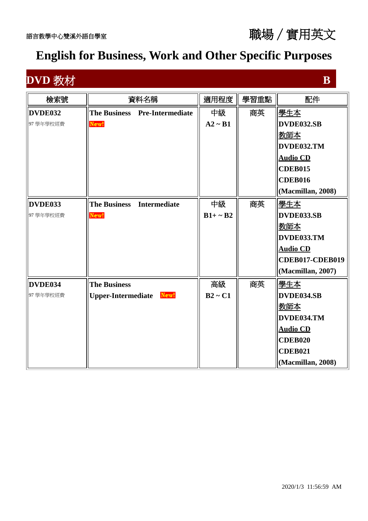**DVD** 教材 **B** 

| 檢索號      |                           | 資料名稱                          | 適用程度          | 學習重點 | 配件                |
|----------|---------------------------|-------------------------------|---------------|------|-------------------|
| DVDE032  |                           | The Business Pre-Intermediate | 中級            | 商英   | 學生本               |
| 97學年學校經費 | New!                      |                               | $A2 \sim B1$  |      | DVDE032.SB        |
|          |                           |                               |               |      | <u>教師本</u>        |
|          |                           |                               |               |      | DVDE032.TM        |
|          |                           |                               |               |      | <b>Audio CD</b>   |
|          |                           |                               |               |      | <b>CDEB015</b>    |
|          |                           |                               |               |      | <b>CDEB016</b>    |
|          |                           |                               |               |      | (Macmillan, 2008) |
| DVDE033  | <b>The Business</b>       | <b>Intermediate</b>           | 中級            | 商英   | 學生本               |
| 97學年學校經費 | New!                      |                               | $B1+ \sim B2$ |      | DVDE033.SB        |
|          |                           |                               |               |      | <u>教師本</u>        |
|          |                           |                               |               |      | DVDE033.TM        |
|          |                           |                               |               |      | <b>Audio CD</b>   |
|          |                           |                               |               |      | CDEB017-CDEB019   |
|          |                           |                               |               |      | (Macmillan, 2007) |
| DVDE034  | <b>The Business</b>       |                               | 高級            | 商英   | 學生本               |
| 97學年學校經費 | <b>Upper-Intermediate</b> | New!                          | $B2 \sim C1$  |      | DVDE034.SB        |
|          |                           |                               |               |      | 教師本               |
|          |                           |                               |               |      | DVDE034.TM        |
|          |                           |                               |               |      | <b>Audio CD</b>   |
|          |                           |                               |               |      | <b>CDEB020</b>    |
|          |                           |                               |               |      | <b>CDEB021</b>    |
|          |                           |                               |               |      | (Macmillan, 2008) |

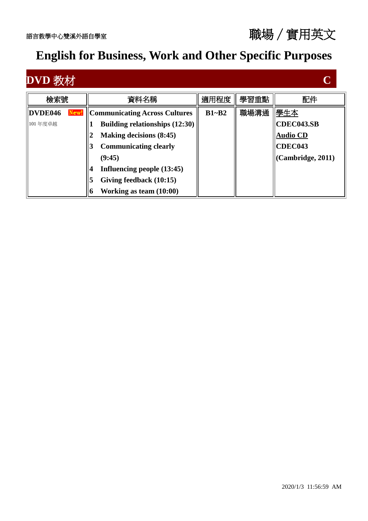

| DVD 教                      |                                                                                                                                                                                                                                                                        |           |      |                                                                             |
|----------------------------|------------------------------------------------------------------------------------------------------------------------------------------------------------------------------------------------------------------------------------------------------------------------|-----------|------|-----------------------------------------------------------------------------|
| 檢索號                        | 資料名稱                                                                                                                                                                                                                                                                   | 適用程度      | 學習重點 | 配件                                                                          |
| DVDE046<br>New!<br>101年度卓越 | <b>Communicating Across Cultures</b><br><b>Building relationships (12:30)</b><br>Making decisions (8:45)<br><b>Communicating clearly</b><br>3<br>(9:45)<br>Influencing people (13:45)<br>$\boldsymbol{4}$<br>Giving feedback (10:15)<br>5<br>Working as team $(10:00)$ | $B1 - B2$ | 職場溝通 | 學生本<br><b>CDEC043.SB</b><br><b>Audio CD</b><br>CDEC043<br>(Cambridge, 2011) |

2020/1/3 11:56:59 AM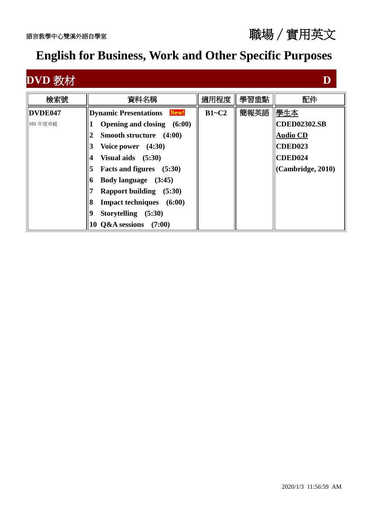| $\overline{\text{DVD}}$ 孝 |                                                                                                                                                                                                                                                                                                                                     |         |      |                                                                                                 |
|---------------------------|-------------------------------------------------------------------------------------------------------------------------------------------------------------------------------------------------------------------------------------------------------------------------------------------------------------------------------------|---------|------|-------------------------------------------------------------------------------------------------|
| 檢索號                       | 資料名稱                                                                                                                                                                                                                                                                                                                                | 適用程度    | 學習重點 | 配件                                                                                              |
| DVDE047<br>101年度卓越        | New!<br><b>Dynamic Presentations</b><br>Opening and closing (6:00)<br>Smooth structure (4:00)<br>Voice power (4:30)<br>Visual aids $(5:30)$<br>$\overline{\mathbf{4}}$<br>Facts and figures (5:30)<br>5<br>Body language (3:45)<br>0<br><b>Rapport building</b> (5:30)<br>Impact techniques (6:00)<br>8<br>Storytelling (5:30)<br>9 | $B1-C2$ | 簡報英語 | 學生本<br><b>CDED02302.SB</b><br><b>Audio CD</b><br><b>CDED023</b><br>CDED024<br>(Cambridge, 2010) |
|                           | 10 $Q&A$ sessions $(7:00)$                                                                                                                                                                                                                                                                                                          |         |      |                                                                                                 |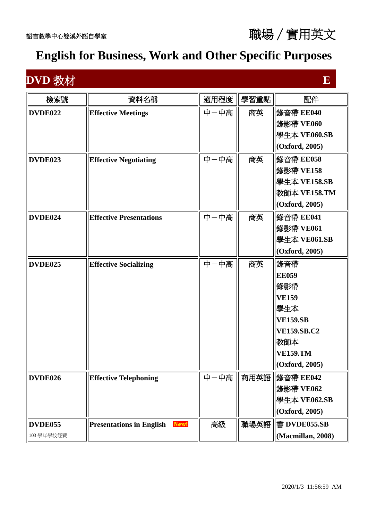

## **DVD** 教材 **E E**

| 檢索號        | 資料名稱                                    | 適用程度 | 學習重點 | 配件                 |
|------------|-----------------------------------------|------|------|--------------------|
| DVDE022    | <b>Effective Meetings</b>               | 中一中高 | 商英   | 錄音帶 EE040          |
|            |                                         |      |      | 錄影帶 VE060          |
|            |                                         |      |      | 學生本 VE060.SB       |
|            |                                         |      |      | (Oxford, 2005)     |
| DVDE023    | <b>Effective Negotiating</b>            | 中一中高 | 商英   | 錄音帶 EE058          |
|            |                                         |      |      | 錄影帶 VE158          |
|            |                                         |      |      | 學生本 VE158.SB       |
|            |                                         |      |      | 教師本 VE158.TM       |
|            |                                         |      |      | (Oxford, 2005)     |
| DVDE024    | <b>Effective Presentations</b>          | 中一中高 | 商英   | 錄音帶 EE041          |
|            |                                         |      |      | 錄影帶 VE061          |
|            |                                         |      |      | 學生本 VE061.SB       |
|            |                                         |      |      | (Oxford, 2005)     |
| DVDE025    | <b>Effective Socializing</b>            | 中一中高 | 商英   | 錄音帶                |
|            |                                         |      |      | <b>EE059</b>       |
|            |                                         |      |      | 錄影帶                |
|            |                                         |      |      | <b>VE159</b>       |
|            |                                         |      |      | 學生本                |
|            |                                         |      |      | <b>VE159.SB</b>    |
|            |                                         |      |      | <b>VE159.SB.C2</b> |
|            |                                         |      |      | 教師本                |
|            |                                         |      |      | <b>VE159.TM</b>    |
|            |                                         |      |      | (Oxford, 2005)     |
| DVDE026    | <b>Effective Telephoning</b>            | 中一中高 | 商用英語 | 錄音帶 EE042          |
|            |                                         |      |      | 錄影帶 VE062          |
|            |                                         |      |      | 學生本 VE062.SB       |
|            |                                         |      |      | (Oxford, 2005)     |
| DVDE055    | <b>Presentations in English</b><br>New! | 高級   | 職場英語 | 書 DVDE055.SB       |
| 103 學年學校經費 |                                         |      |      | (Macmillan, 2008)  |